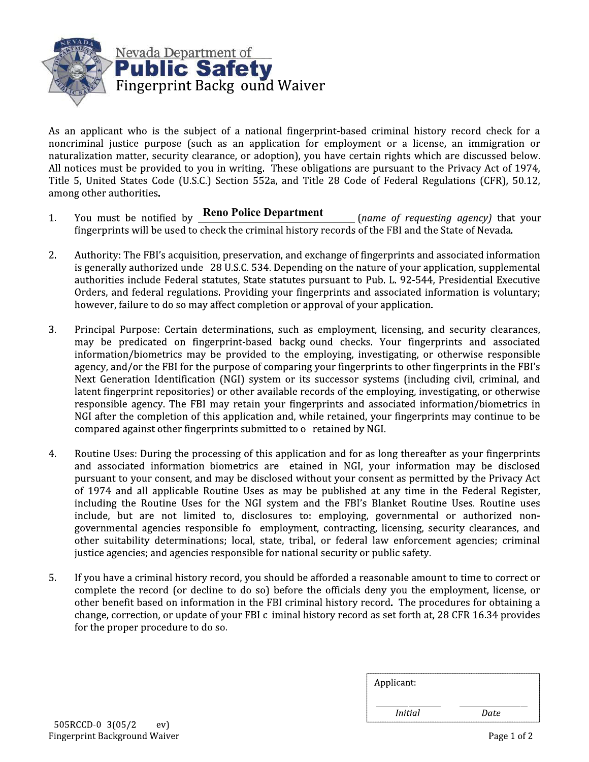

As an applicant who is the subject of a national fingerprint-based criminal history record check for a noncriminal justice purpose (such as an application for employment or a license, an immigration or naturalization matter, security clearance, or adoption), you have certain rights which are discussed below. All notices must be provided to you in writing. These obligations are pursuant to the Privacy Act of 1974, Title 5, United States Code (U.S.C.) Section 552a, and Title 28 Code of Federal Regulations (CFR), 50.12, among other authorities.

- You must be notified by **Reno Police Department** 1. (name of requesting agency) that your fingerprints will be used to check the criminal history records of the FBI and the State of Nevada.
- $2.$ Authority: The FBI's acquisition, preservation, and exchange of fingerprints and associated information is generally authorized unde 28 U.S.C. 534. Depending on the nature of your application, supplemental authorities include Federal statutes, State statutes pursuant to Pub. L. 92-544, Presidential Executive Orders, and federal regulations. Providing your fingerprints and associated information is voluntary; however, failure to do so may affect completion or approval of your application.
- 3. Principal Purpose: Certain determinations, such as employment, licensing, and security clearances, may be predicated on fingerprint-based backg ound checks. Your fingerprints and associated information/biometrics may be provided to the employing, investigating, or otherwise responsible agency, and/or the FBI for the purpose of comparing your fingerprints to other fingerprints in the FBI's Next Generation Identification (NGI) system or its successor systems (including civil, criminal, and latent fingerprint repositories) or other available records of the employing, investigating, or otherwise responsible agency. The FBI may retain your fingerprints and associated information/biometrics in NGI after the completion of this application and, while retained, your fingerprints may continue to be compared against other fingerprints submitted to o retained by NGI.
- $4.$ Routine Uses: During the processing of this application and for as long thereafter as your fingerprints and associated information biometrics are etained in NGI, your information may be disclosed pursuant to your consent, and may be disclosed without your consent as permitted by the Privacy Act of 1974 and all applicable Routine Uses as may be published at any time in the Federal Register, including the Routine Uses for the NGI system and the FBI's Blanket Routine Uses. Routine uses include, but are not limited to, disclosures to: employing, governmental or authorized nongovernmental agencies responsible fo employment, contracting, licensing, security clearances, and other suitability determinations; local, state, tribal, or federal law enforcement agencies; criminal justice agencies; and agencies responsible for national security or public safety.
- 5. If you have a criminal history record, you should be afforded a reasonable amount to time to correct or complete the record (or decline to do so) before the officials deny you the employment, license, or other benefit based on information in the FBI criminal history record. The procedures for obtaining a change, correction, or update of your FBI c iminal history record as set forth at, 28 CFR 16.34 provides for the proper procedure to do so.

| Applicant:     |      |
|----------------|------|
| <i>Initial</i> | Date |